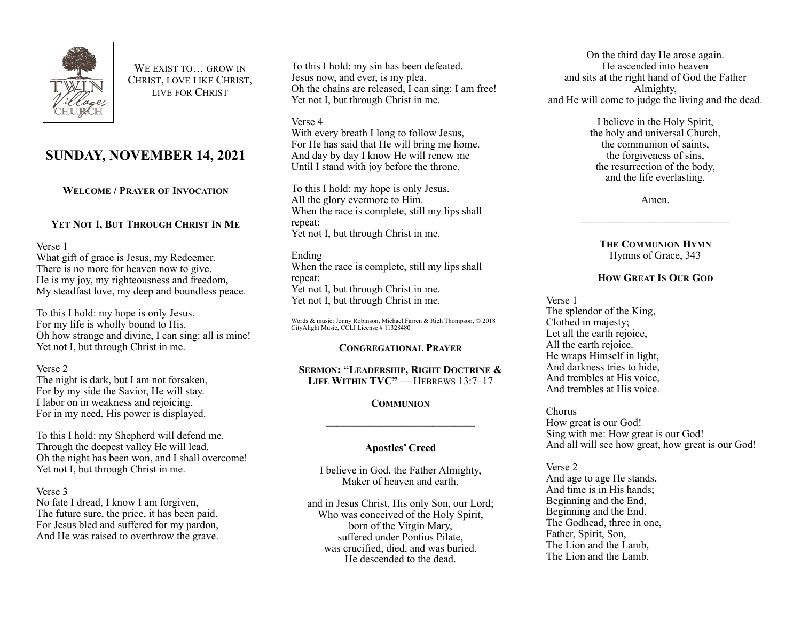

WE EXIST TO **GROW IN** CHRIST, LOVE LIKE CHRIST, LIVE FOR CHRIST

# **SUNDAY, NOVEMBER 14, 2021**

**WELCOME / PRAYER OF INVOCATION**

## **YET NOT I, BUT THROUGH CHRIST IN ME**

Verse 1

What gift of grace is Jesus, my Redeemer. There is no more for heaven now to give. He is my joy, my righteousness and freedom, My steadfast love, my deep and boundless peace.

To this I hold: my hope is only Jesus. For my life is wholly bound to His. Oh how strange and divine, I can sing: all is mine! Yet not I, but through Christ in me.

## Verse 2

The night is dark, but I am not forsaken, For by my side the Savior, He will stay. I labor on in weakness and rejoicing, For in my need, His power is displayed.

To this I hold: my Shepherd will defend me. Through the deepest valley He will lead. Oh the night has been won, and I shall overcome! Yet not I, but through Christ in me.

#### Verse 3

No fate I dread, I know I am forgiven, The future sure, the price, it has been paid. For Jesus bled and suffered for my pardon, And He was raised to overthrow the grave.

To this I hold: my sin has been defeated. Jesus now, and ever, is my plea. Oh the chains are released, I can sing: I am free! Yet not I, but through Christ in me.

#### Verse 4

With every breath I long to follow Jesus. For He has said that He will bring me home. And day by day I know He will renew me Until I stand with joy before the throne.

To this I hold: my hope is only Jesus. All the glory evermore to Him. When the race is complete, still my lips shall repeat: Yet not I, but through Christ in me.

#### Ending When the race is complete, still my lips shall repeat: Yet not I, but through Christ in me. Yet not I, but through Christ in me.

Words & music: Jonny Robinson, Michael Farren & Rich Thompson, © 2018 CityAlight Music, CCLI License # 11328480

## **CONGREGATIONAL PRAYER**

**SERMON: "LEADERSHIP, RIGHT DOCTRINE & LIFE WITHIN TVC"** — HEBREWS 13:7–17

## **COMMUNION**

## **Apostles' Creed**

——————————————

I believe in God, the Father Almighty, Maker of heaven and earth,

and in Jesus Christ, His only Son, our Lord; Who was conceived of the Holy Spirit, born of the Virgin Mary, suffered under Pontius Pilate, was crucified, died, and was buried. He descended to the dead.

On the third day He arose again. He ascended into heaven and sits at the right hand of God the Father Almighty, and He will come to judge the living and the dead.

> I believe in the Holy Spirit, the holy and universal Church, the communion of saints, the forgiveness of sins, the resurrection of the body, and the life everlasting.

> > Amen.

——————————————

**THE COMMUNION HYMN** Hymns of Grace, 343

## **HOW GREAT IS OUR GOD**

Verse 1 The splendor of the King, Clothed in majesty; Let all the earth rejoice, All the earth rejoice. He wraps Himself in light, And darkness tries to hide, And trembles at His voice, And trembles at His voice.

Chorus How great is our God! Sing with me: How great is our God! And all will see how great, how great is our God!

## Verse 2

And age to age He stands, And time is in His hands; Beginning and the End, Beginning and the End. The Godhead, three in one, Father, Spirit, Son, The Lion and the Lamb, The Lion and the Lamb.